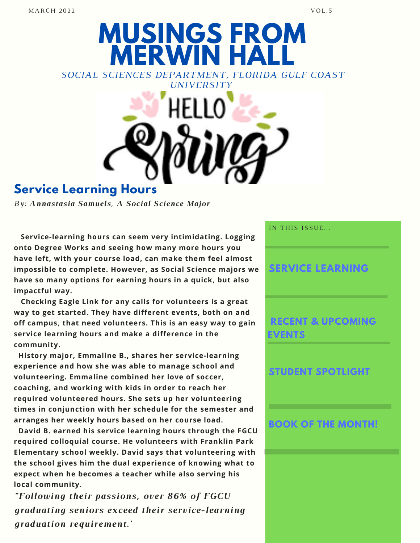# **MUSINGS FROM MERWIN HALL** *SOCIAL SCIENCES DEPARTMENT, FLORIDA GULF COAST UNIVERSITY*

## **Service Learning Hours**

*By: Annastasia Samuels, A Social Science Major*

**Service-learning hours can seem very intimidating. Logging onto Degree Works and seeing how many more hours you have left, with your course load, can make them feel almost impossible to complete. However, as Social Science majors we have so many options for earning hours in a quick, but also impactful way.**

**Checking Eagle Link for any calls for volunteers is a great way to get started. They have different events, both on and off campus, that need volunteers. This is an easy way to gain service learning hours and make a difference in the community.**

**History major, Emmaline B., shares her service-learning experience and how she was able to manage school and volunteering. Emmaline combined her love of soccer, coaching, and working with kids in order to reach her required volunteered hours. She sets up her volunteering times in conjunction with her schedule for the semester and arranges her weekly hours based on her course load.**

**David B. earned his service learning hours through the FGCU required colloquial course. He volunteers with Franklin Park Elementary school weekly. David says that volunteering with the school gives him the dual experience of knowing what to expect when he becomes a teacher while also serving his local community.**

*"Following their passions, over 86% of FGCU graduating seniors exceed their service-learning graduation requirement.'*